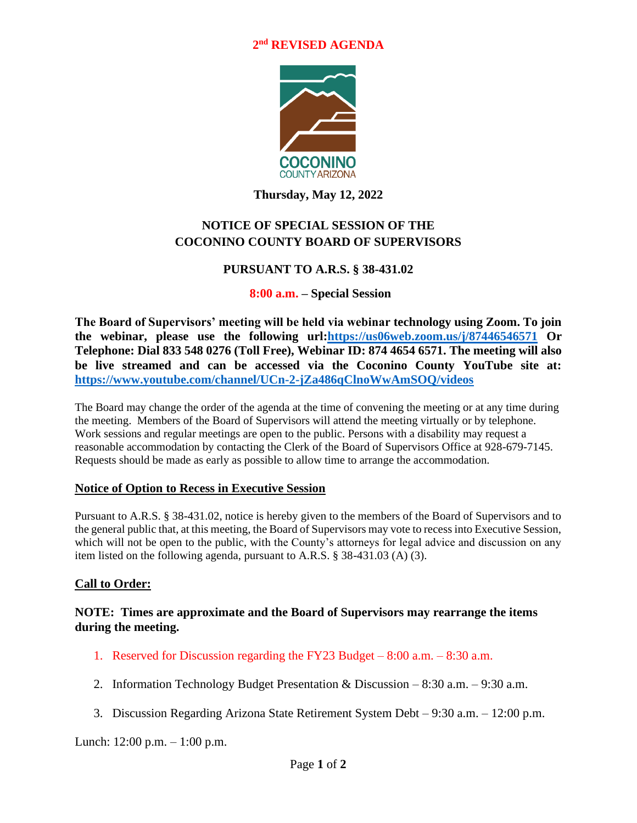### **2 nd REVISED AGENDA**



**Thursday, May 12, 2022**

## **NOTICE OF SPECIAL SESSION OF THE COCONINO COUNTY BOARD OF SUPERVISORS**

### **PURSUANT TO A.R.S. § 38-431.02**

#### **8:00 a.m. – Special Session**

**The Board of Supervisors' meeting will be held via webinar technology using Zoom. To join the webinar, please use the following url[:https://us06web.zoom.us/j/87446546571](https://us06web.zoom.us/j/87446546571) Or Telephone: Dial 833 548 0276 (Toll Free), Webinar ID: 874 4654 6571. The meeting will also be live streamed and can be accessed via the Coconino County YouTube site at: <https://www.youtube.com/channel/UCn-2-jZa486qClnoWwAmSOQ/videos>**

The Board may change the order of the agenda at the time of convening the meeting or at any time during the meeting. Members of the Board of Supervisors will attend the meeting virtually or by telephone. Work sessions and regular meetings are open to the public. Persons with a disability may request a reasonable accommodation by contacting the Clerk of the Board of Supervisors Office at 928-679-7145. Requests should be made as early as possible to allow time to arrange the accommodation.

#### **Notice of Option to Recess in Executive Session**

Pursuant to A.R.S. § 38-431.02, notice is hereby given to the members of the Board of Supervisors and to the general public that, at this meeting, the Board of Supervisors may vote to recess into Executive Session, which will not be open to the public, with the County's attorneys for legal advice and discussion on any item listed on the following agenda, pursuant to A.R.S. § 38-431.03 (A) (3).

### **Call to Order:**

### **NOTE: Times are approximate and the Board of Supervisors may rearrange the items during the meeting.**

- 1. Reserved for Discussion regarding the FY23 Budget 8:00 a.m. 8:30 a.m.
- 2. Information Technology Budget Presentation & Discussion 8:30 a.m. 9:30 a.m.
- 3. Discussion Regarding Arizona State Retirement System Debt 9:30 a.m. 12:00 p.m.

Lunch: 12:00 p.m. – 1:00 p.m.